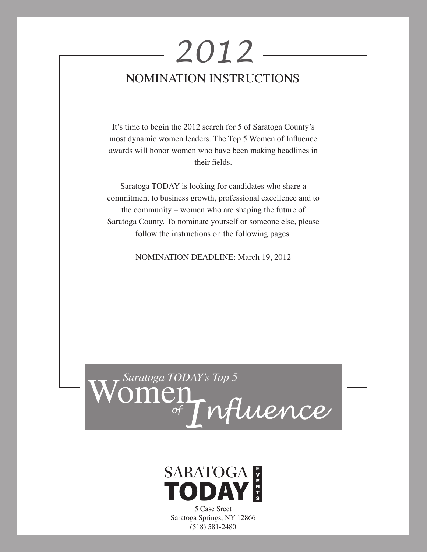# Nomination Instructions *2012*

It's time to begin the 2012 search for 5 of Saratoga County's most dynamic women leaders. The Top 5 Women of Influence awards will honor women who have been making headlines in their fields.

Saratoga TODAY is looking for candidates who share a commitment to business growth, professional excellence and to the community – women who are shaping the future of Saratoga County. To nominate yourself or someone else, please follow the instructions on the following pages.

NOMINATION DEADLINE: March 19, 2012





5 Case Sreet Saratoga Springs, NY 12866 (518) 581-2480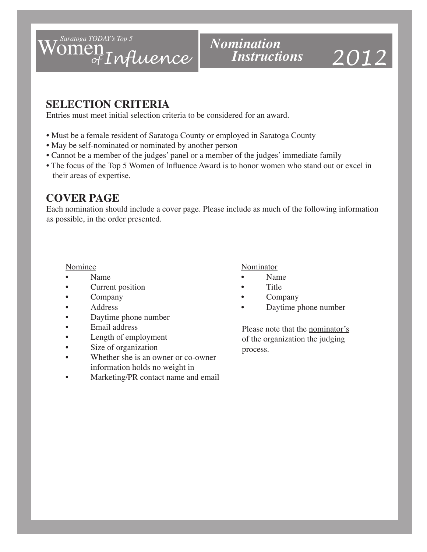

# *Nomination Instructions*

# *2012*

### **SELECTION CRITERIA**

Entries must meet initial selection criteria to be considered for an award.

- Must be a female resident of Saratoga County or employed in Saratoga County
- May be self-nominated or nominated by another person
- Cannot be a member of the judges' panel or a member of the judges' immediate family
- The focus of the Top 5 Women of Influence Award is to honor women who stand out or excel in their areas of expertise.

### **COVER PAGE**

Each nomination should include a cover page. Please include as much of the following information as possible, in the order presented.

- 
- Current position Title
- 
- 
- Daytime phone number
- Email address
- Length of employment
- Size of organization
- Whether she is an owner or co-owner information holds no weight in
- Marketing/PR contact name and email

### Nominee Nominator

- Name Name
	-
	- Company Company
	- Address Daytime phone number

Please note that the nominator's of the organization the judging process.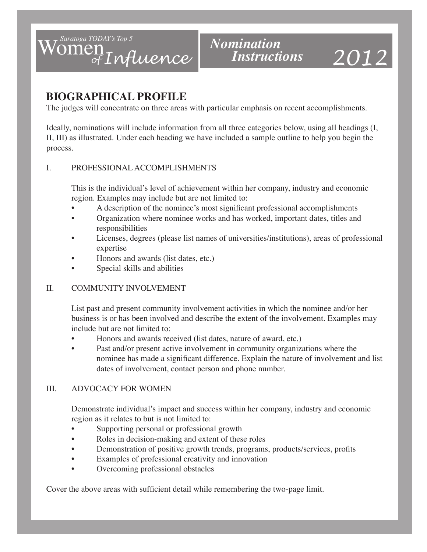

# *2012*

## **BIOGRAPHICAL PROFILE**

The judges will concentrate on three areas with particular emphasis on recent accomplishments.

Ideally, nominations will include information from all three categories below, using all headings (I, II, III) as illustrated. Under each heading we have included a sample outline to help you begin the process.

### I. PROFESSIONAL ACCOMPLISHMENTS

This is the individual's level of achievement within her company, industry and economic region. Examples may include but are not limited to:

- A description of the nominee's most significant professional accomplishments
- Organization where nominee works and has worked, important dates, titles and responsibilities
- Licenses, degrees (please list names of universities/institutions), areas of professional expertise
- Honors and awards (list dates, etc.)
- Special skills and abilities

### II. COMMUNITY INVOLVEMENT

List past and present community involvement activities in which the nominee and/or her business is or has been involved and describe the extent of the involvement. Examples may include but are not limited to:

- Honors and awards received (list dates, nature of award, etc.)
- Past and/or present active involvement in community organizations where the nominee has made a significant difference. Explain the nature of involvement and list dates of involvement, contact person and phone number.

### III. ADVOCACY FOR WOMEN

Demonstrate individual's impact and success within her company, industry and economic region as it relates to but is not limited to:

- Supporting personal or professional growth
- Roles in decision-making and extent of these roles
- Demonstration of positive growth trends, programs, products/services, profits
- Examples of professional creativity and innovation
- Overcoming professional obstacles

Cover the above areas with sufficient detail while remembering the two-page limit.